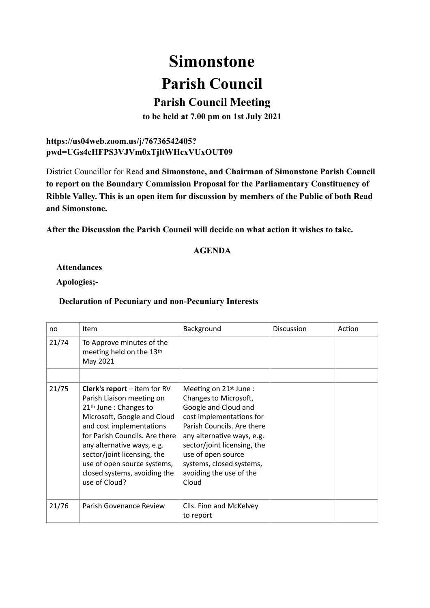# **Simonstone Parish Council**

## **Parish Council Meeting**

**to be held at 7.00 pm on 1st July 2021** 

### **https://us04web.zoom.us/j/76736542405? pwd=UGs4cHFPS3VJVm0xTjltWHcxVUxOUT09**

District Councillor for Read **and Simonstone, and Chairman of Simonstone Parish Council to report on the Boundary Commission Proposal for the Parliamentary Constituency of Ribble Valley. This is an open item for discussion by members of the Public of both Read and Simonstone.**

**After the Discussion the Parish Council will decide on what action it wishes to take.** 

#### **AGENDA**

**Attendances** 

**Apologies;-**

#### **Declaration of Pecuniary and non-Pecuniary Interests**

| no    | Item                                                                                                                                                                                                                                                                                                                                               | Background                                                                                                                                                                                                                                                                                      | <b>Discussion</b> | Action |
|-------|----------------------------------------------------------------------------------------------------------------------------------------------------------------------------------------------------------------------------------------------------------------------------------------------------------------------------------------------------|-------------------------------------------------------------------------------------------------------------------------------------------------------------------------------------------------------------------------------------------------------------------------------------------------|-------------------|--------|
| 21/74 | To Approve minutes of the<br>meeting held on the 13th<br>May 2021                                                                                                                                                                                                                                                                                  |                                                                                                                                                                                                                                                                                                 |                   |        |
|       |                                                                                                                                                                                                                                                                                                                                                    |                                                                                                                                                                                                                                                                                                 |                   |        |
| 21/75 | <b>Clerk's report</b> $-$ item for RV<br>Parish Liaison meeting on<br>21 <sup>th</sup> June : Changes to<br>Microsoft, Google and Cloud<br>and cost implementations<br>for Parish Councils. Are there<br>any alternative ways, e.g.<br>sector/joint licensing, the<br>use of open source systems,<br>closed systems, avoiding the<br>use of Cloud? | Meeting on 21 <sup>st</sup> June:<br>Changes to Microsoft,<br>Google and Cloud and<br>cost implementations for<br>Parish Councils. Are there<br>any alternative ways, e.g.<br>sector/joint licensing, the<br>use of open source<br>systems, closed systems,<br>avoiding the use of the<br>Cloud |                   |        |
| 21/76 | Parish Govenance Review                                                                                                                                                                                                                                                                                                                            | Clls. Finn and McKelvey<br>to report                                                                                                                                                                                                                                                            |                   |        |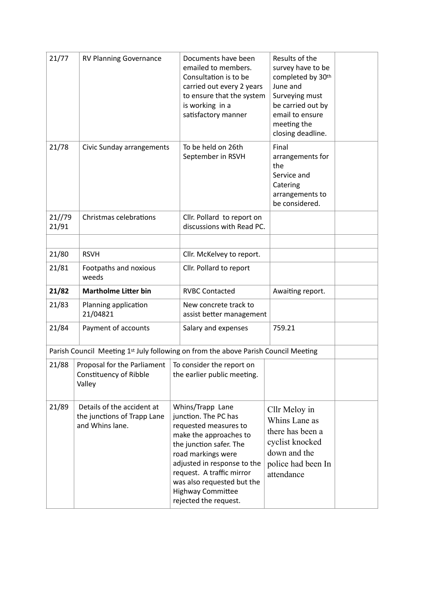| 21/77           | <b>RV Planning Governance</b>                                                      |  | Documents have been<br>emailed to members.<br>Consultation is to be<br>carried out every 2 years<br>to ensure that the system<br>is working in a<br>satisfactory manner                                                                                                                     | Results of the<br>survey have to be<br>completed by 30th<br>June and<br>Surveying must<br>be carried out by<br>email to ensure<br>meeting the<br>closing deadline. |
|-----------------|------------------------------------------------------------------------------------|--|---------------------------------------------------------------------------------------------------------------------------------------------------------------------------------------------------------------------------------------------------------------------------------------------|--------------------------------------------------------------------------------------------------------------------------------------------------------------------|
| 21/78           | Civic Sunday arrangements                                                          |  | To be held on 26th<br>September in RSVH                                                                                                                                                                                                                                                     | Final<br>arrangements for<br>the<br>Service and<br>Catering<br>arrangements to<br>be considered.                                                                   |
| 21//79<br>21/91 | Christmas celebrations                                                             |  | Cllr. Pollard to report on<br>discussions with Read PC.                                                                                                                                                                                                                                     |                                                                                                                                                                    |
| 21/80           | <b>RSVH</b>                                                                        |  | Cllr. McKelvey to report.                                                                                                                                                                                                                                                                   |                                                                                                                                                                    |
| 21/81           | Footpaths and noxious<br>weeds                                                     |  | Cllr. Pollard to report                                                                                                                                                                                                                                                                     |                                                                                                                                                                    |
| 21/82           | <b>Martholme Litter bin</b>                                                        |  | <b>RVBC Contacted</b>                                                                                                                                                                                                                                                                       | Awaiting report.                                                                                                                                                   |
| 21/83           | Planning application<br>21/04821                                                   |  | New concrete track to<br>assist better management                                                                                                                                                                                                                                           |                                                                                                                                                                    |
| 21/84           | Payment of accounts                                                                |  | Salary and expenses                                                                                                                                                                                                                                                                         | 759.21                                                                                                                                                             |
|                 | Parish Council Meeting 1st July following on from the above Parish Council Meeting |  |                                                                                                                                                                                                                                                                                             |                                                                                                                                                                    |
| 21/88           | Proposal for the Parliament<br>Constituency of Ribble<br>Valley                    |  | To consider the report on<br>the earlier public meeting.                                                                                                                                                                                                                                    |                                                                                                                                                                    |
| 21/89           | Details of the accident at<br>the junctions of Trapp Lane<br>and Whins lane.       |  | Whins/Trapp Lane<br>junction. The PC has<br>requested measures to<br>make the approaches to<br>the junction safer. The<br>road markings were<br>adjusted in response to the<br>request. A traffic mirror<br>was also requested but the<br><b>Highway Committee</b><br>rejected the request. | Cllr Meloy in<br>Whins Lane as<br>there has been a<br>cyclist knocked<br>down and the<br>police had been In<br>attendance                                          |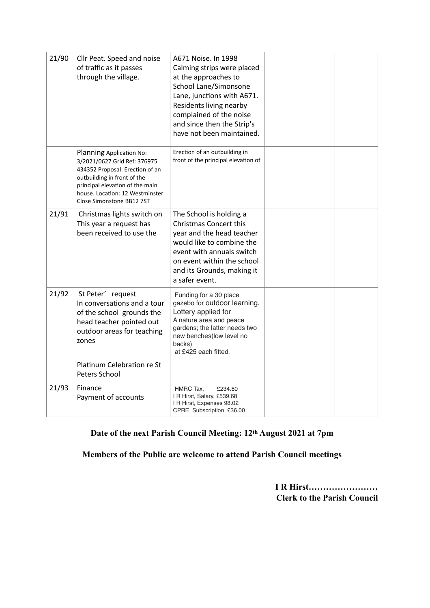| 21/90 | Cllr Peat. Speed and noise<br>of traffic as it passes<br>through the village.                                                                                                                                                 | A671 Noise. In 1998<br>Calming strips were placed<br>at the approaches to<br>School Lane/Simonsone<br>Lane, junctions with A671.<br>Residents living nearby<br>complained of the noise<br>and since then the Strip's<br>have not been maintained. |  |
|-------|-------------------------------------------------------------------------------------------------------------------------------------------------------------------------------------------------------------------------------|---------------------------------------------------------------------------------------------------------------------------------------------------------------------------------------------------------------------------------------------------|--|
|       | Planning Application No:<br>3/2021/0627 Grid Ref: 376975<br>434352 Proposal: Erection of an<br>outbuilding in front of the<br>principal elevation of the main<br>house. Location: 12 Westminster<br>Close Simonstone BB12 7ST | Erection of an outbuilding in<br>front of the principal elevation of                                                                                                                                                                              |  |
| 21/91 | Christmas lights switch on<br>This year a request has<br>been received to use the                                                                                                                                             | The School is holding a<br>Christmas Concert this<br>year and the head teacher<br>would like to combine the<br>event with annuals switch<br>on event within the school<br>and its Grounds, making it<br>a safer event.                            |  |
| 21/92 | St Peter' request<br>In conversations and a tour<br>of the school grounds the<br>head teacher pointed out<br>outdoor areas for teaching<br>zones                                                                              | Funding for a 30 place<br>gazebo for outdoor learning.<br>Lottery applied for<br>A nature area and peace<br>gardens; the latter needs two<br>new benches(low level no<br>backs)<br>at £425 each fitted.                                           |  |
|       | Platinum Celebration re St<br>Peters School                                                                                                                                                                                   |                                                                                                                                                                                                                                                   |  |
| 21/93 | Finance<br>Payment of accounts                                                                                                                                                                                                | HMRC Tax,<br>£234.80<br>I R Hirst, Salary. £539.68<br>I R Hirst, Expenses 98.02<br>CPRE Subscription £36.00                                                                                                                                       |  |

## **Date of the next Parish Council Meeting: 12th August 2021 at 7pm**

**Members of the Public are welcome to attend Parish Council meetings**

**I R Hirst…………………… Clerk to the Parish Council**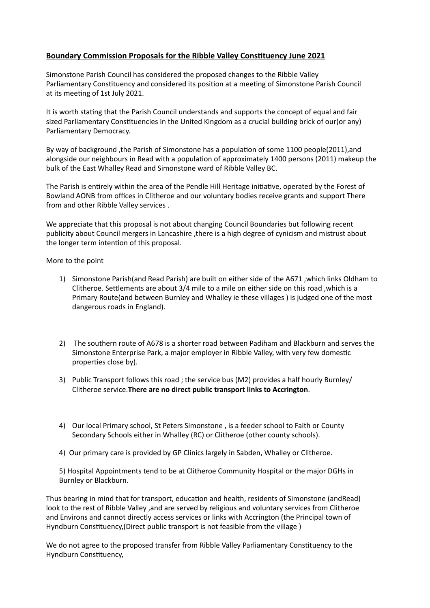#### **Boundary Commission Proposals for the Ribble Valley Constituency June 2021**

Simonstone Parish Council has considered the proposed changes to the Ribble Valley Parliamentary Constituency and considered its position at a meeting of Simonstone Parish Council at its meeting of 1st July 2021.

It is worth stating that the Parish Council understands and supports the concept of equal and fair sized Parliamentary Constituencies in the United Kingdom as a crucial building brick of our(or any) Parliamentary Democracy.

By way of background ,the Parish of Simonstone has a population of some 1100 people(2011),and alongside our neighbours in Read with a population of approximately 1400 persons (2011) makeup the bulk of the East Whalley Read and Simonstone ward of Ribble Valley BC.

The Parish is entirely within the area of the Pendle Hill Heritage initiative, operated by the Forest of Bowland AONB from offices in Clitheroe and our voluntary bodies receive grants and support There from and other Ribble Valley services .

We appreciate that this proposal is not about changing Council Boundaries but following recent publicity about Council mergers in Lancashire ,there is a high degree of cynicism and mistrust about the longer term intention of this proposal.

More to the point

- 1) Simonstone Parish(and Read Parish) are built on either side of the A671 ,which links Oldham to Clitheroe. Settlements are about 3/4 mile to a mile on either side on this road ,which is a Primary Route(and between Burnley and Whalley ie these villages ) is judged one of the most dangerous roads in England).
- 2) The southern route of A678 is a shorter road between Padiham and Blackburn and serves the Simonstone Enterprise Park, a major employer in Ribble Valley, with very few domestic properties close by).
- 3) Public Transport follows this road ; the service bus (M2) provides a half hourly Burnley/ Clitheroe service.**There are no direct public transport links to Accrington**.
- 4) Our local Primary school, St Peters Simonstone , is a feeder school to Faith or County Secondary Schools either in Whalley (RC) or Clitheroe (other county schools).
- 4) Our primary care is provided by GP Clinics largely in Sabden, Whalley or Clitheroe.

5) Hospital Appointments tend to be at Clitheroe Community Hospital or the major DGHs in Burnley or Blackburn.

Thus bearing in mind that for transport, education and health, residents of Simonstone (andRead) look to the rest of Ribble Valley ,and are served by religious and voluntary services from Clitheroe and Environs and cannot directly access services or links with Accrington (the Principal town of Hyndburn Constituency,(Direct public transport is not feasible from the village )

We do not agree to the proposed transfer from Ribble Valley Parliamentary Constituency to the Hyndburn Constituency,